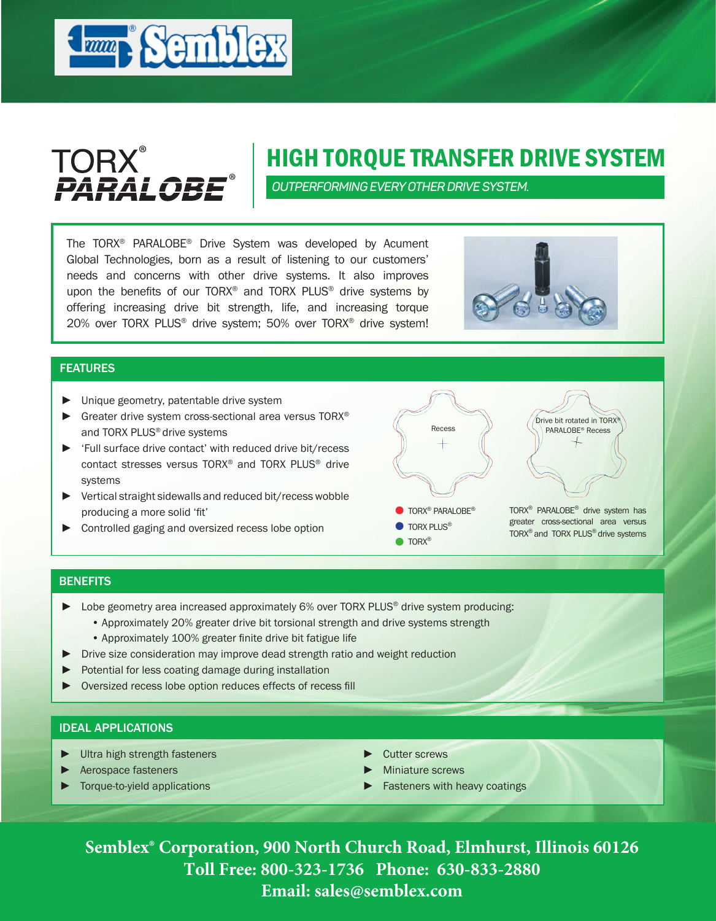



# HIGH TORQUE TRANSFER DRIVE SYSTEM

*OUTPERFORMING EVERY OTHER DRIVE SYSTEM.*

The TORX® PARALOBE® Drive System was developed by Acument Global Technologies, born as a result of listening to our customers' needs and concerns with other drive systems. It also improves upon the benefits of our TORX<sup>®</sup> and TORX PLUS<sup>®</sup> drive systems by offering increasing drive bit strength, life, and increasing torque 20% over TORX PLUS® drive system; 50% over TORX® drive system!



### FEATURES

- ► Unique geometry, patentable drive system
- ► Greater drive system cross-sectional area versus TORX® and TORX PLUS® drive systems
- ► 'Full surface drive contact' with reduced drive bit/recess contact stresses versus TORX® and TORX PLUS® drive systems
- ► Vertical straight sidewalls and reduced bit/recess wobble producing a more solid 'fit'
- ► Controlled gaging and oversized recess lobe option

TORX® PARALOBE® drive system has greater cross-sectional area versus TORX® and TORX PLUS® drive systems **O** TORX<sup>®</sup> PARALOBE<sup>®</sup> **TORX PLUS® O**TORX® Recess Drive bit rotated in TORX® PARALOBE® Recess

#### **BENEFITS**

- ► Lobe geometry area increased approximately 6% over TORX PLUS® drive system producing:
	- Approximately 20% greater drive bit torsional strength and drive systems strength
	- Approximately 100% greater finite drive bit fatigue life
- Drive size consideration may improve dead strength ratio and weight reduction
- ► Potential for less coating damage during installation
- Oversized recess lobe option reduces effects of recess fill

### IDEAL APPLICATIONS

- ► Ultra high strength fasteners
- ► Aerospace fasteners
- ► Torque-to-yield applications
- ► Cutter screws
- Miniature screws
- ► Fasteners with heavy coatings

**Semblex® Corporation, 900 North Church Road, Elmhurst, Illinois 60126 Toll Free: 800-323-1736 Phone: 630-833-2880 Email: sales@semblex.com**